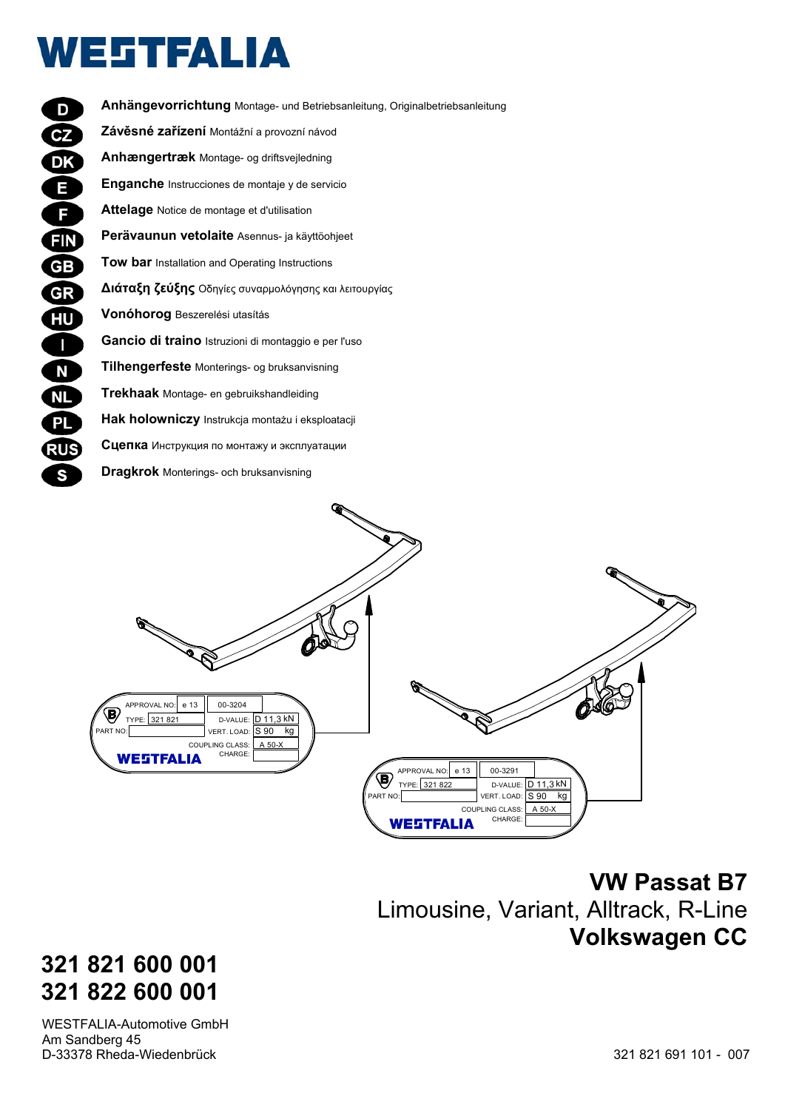# **WESTFALIA**

| D          | Anhängevorrichtung Montage- und Betriebsanleitung, Originalbetriebsanleitung |
|------------|------------------------------------------------------------------------------|
| CZ         | Závěsné zařízení Montážní a provozní návod                                   |
| <b>DK</b>  | Anhængertræk Montage- og driftsvejledning                                    |
| Е          | Enganche Instrucciones de montaje y de servicio                              |
| F.         | Attelage Notice de montage et d'utilisation                                  |
| <b>FIN</b> | Perävaunun vetolaite Asennus- ja käyttöohjeet                                |
| GВ         | <b>Tow bar</b> Installation and Operating Instructions                       |
| GR         | Διάταξη ζεύξης Οδηγίες συναρμολόγησης και λειτουργίας                        |
| HU         | <b>Vonóhorog</b> Beszerelési utasítás                                        |
| L          | Gancio di traino Istruzioni di montaggio e per l'uso                         |
| N          | Tilhengerfeste Monterings- og bruksanvisning                                 |
| <b>NL</b>  | Trekhaak Montage- en gebruikshandleiding                                     |
| <b>PL</b>  | Hak holowniczy Instrukcja montażu i eksploatacji                             |
| RUS        | Сцепка Инструкция по монтажу и эксплуатации                                  |
| S          | <b>Dragkrok</b> Monterings- och bruksanvisning                               |
|            |                                                                              |



 **VW Passat B7** Limousine, Variant, Alltrack, R-Line **Volkswagen CC**

# **321 821 600 001 321 822 600 001**

WESTFALIA-Automotive GmbH Am Sandberg 45 D-33378 Rheda-Wiedenbrück 321 821 691 101 - 007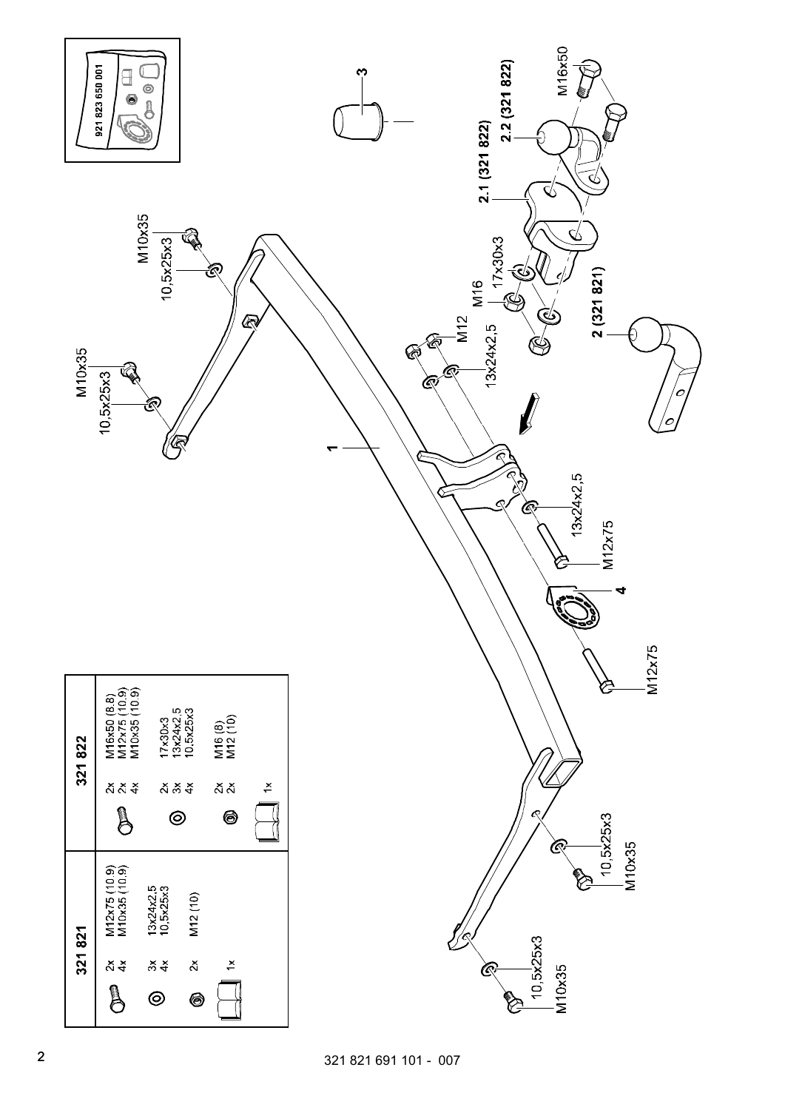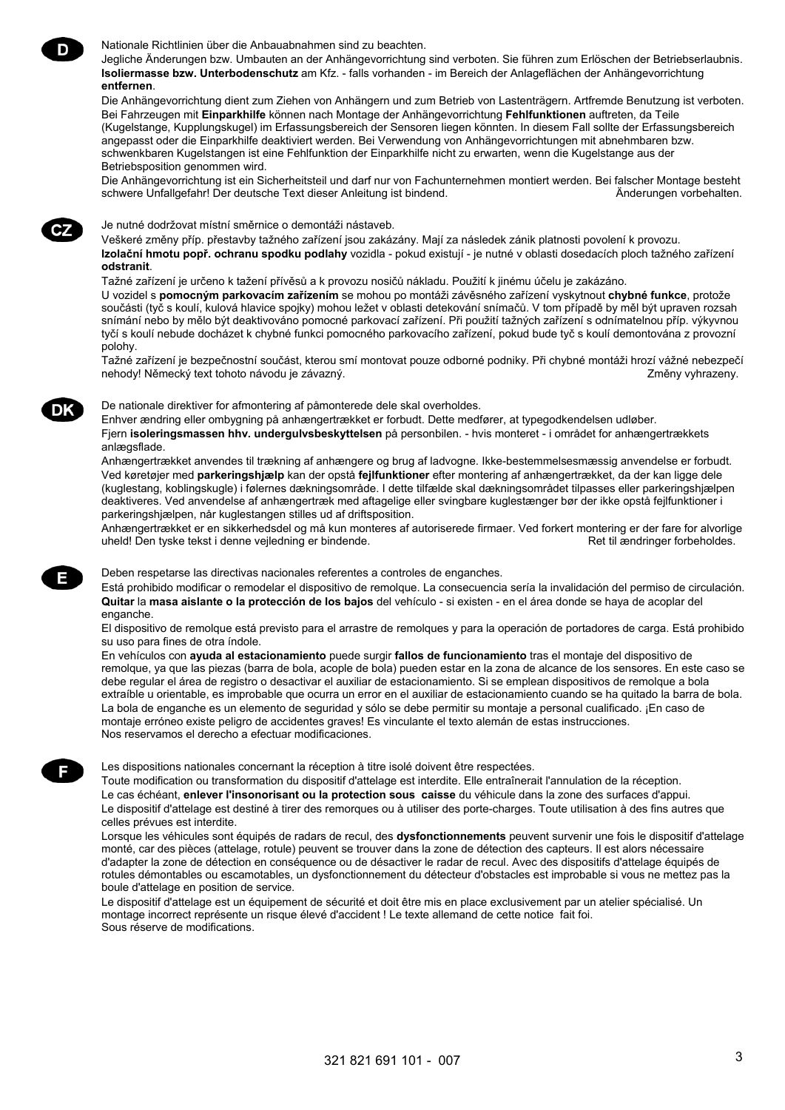Nationale Richtlinien über die Anbauabnahmen sind zu beachten.

Jegliche Änderungen bzw. Umbauten an der Anhängevorrichtung sind verboten. Sie führen zum Erlöschen der Betriebserlaubnis. **Isoliermasse bzw. Unterbodenschutz** am Kfz. - falls vorhanden - im Bereich der Anlageflächen der Anhängevorrichtung **entfernen**.

Die Anhängevorrichtung dient zum Ziehen von Anhängern und zum Betrieb von Lastenträgern. Artfremde Benutzung ist verboten. Bei Fahrzeugen mit **Einparkhilfe** können nach Montage der Anhängevorrichtung **Fehlfunktionen** auftreten, da Teile (Kugelstange, Kupplungskugel) im Erfassungsbereich der Sensoren liegen könnten. In diesem Fall sollte der Erfassungsbereich angepasst oder die Einparkhilfe deaktiviert werden. Bei Verwendung von Anhängevorrichtungen mit abnehmbaren bzw. schwenkbaren Kugelstangen ist eine Fehlfunktion der Einparkhilfe nicht zu erwarten, wenn die Kugelstange aus der Betriebsposition genommen wird.

Die Anhängevorrichtung ist ein Sicherheitsteil und darf nur von Fachunternehmen montiert werden. Bei falscher Montage besteht schwere Unfallgefahr! Der deutsche Text dieser Anleitung ist bindend. **An anlangen vorbehalten.** Änderungen vorbehalten.

## Je nutné dodržovat místní směrnice o demontáži nástaveb.

Veškeré změny příp. přestavby tažného zařízení jsou zakázány. Mají za následek zánik platnosti povolení k provozu. **Izolační hmotu popř. ochranu spodku podlahy** vozidla - pokud existují - je nutné v oblasti dosedacích ploch tažného zařízení **odstranit**.

Tažné zařízení je určeno k tažení přívěsů a k provozu nosičů nákladu. Použití k jinému účelu je zakázáno.

U vozidel s **pomocným parkovacím zařízením** se mohou po montáži závěsného zařízení vyskytnout **chybné funkce**, protože součásti (tyč s koulí, kulová hlavice spojky) mohou ležet v oblasti detekování snímačů. V tom případě by měl být upraven rozsah snímání nebo by mělo být deaktivováno pomocné parkovací zařízení. Při použití tažných zařízení s odnímatelnou příp. výkyvnou tyčí s koulí nebude docházet k chybné funkci pomocného parkovacího zařízení, pokud bude tyč s koulí demontována z provozní polohy.

Tažné zařízení je bezpečnostní součást, kterou smí montovat pouze odborné podniky. Při chybné montáži hrozí vážné nebezpečí nehody! Německý text tohoto návodu je závazný.<br>Změny vyhrazeny.

#### De nationale direktiver for afmontering af påmonterede dele skal overholdes.

Enhver ændring eller ombygning på anhængertrækket er forbudt. Dette medfører, at typegodkendelsen udløber. Fjern **isoleringsmassen hhv. undergulvsbeskyttelsen** på personbilen. - hvis monteret - i området for anhængertrækkets anlægsflade.

Anhængertrækket anvendes til trækning af anhængere og brug af ladvogne. Ikke-bestemmelsesmæssig anvendelse er forbudt. Ved køretøjer med **parkeringshjælp** kan der opstå **fejlfunktioner** efter montering af anhængertrækket, da der kan ligge dele (kuglestang, koblingskugle) i følernes dækningsområde. I dette tilfælde skal dækningsområdet tilpasses eller parkeringshjælpen deaktiveres. Ved anvendelse af anhængertræk med aftagelige eller svingbare kuglestænger bør der ikke opstå fejlfunktioner i parkeringshjælpen, når kuglestangen stilles ud af driftsposition.

Anhængertrækket er en sikkerhedsdel og må kun monteres af autoriserede firmaer. Ved forkert montering er der fare for alvorlige uheld! Den tyske tekst i denne vejledning er bindende. **Ret til ændringer forbeholdes**.

Deben respetarse las directivas nacionales referentes a controles de enganches.

Está prohibido modificar o remodelar el dispositivo de remolque. La consecuencia sería la invalidación del permiso de circulación. **Quitar** la **masa aislante o la protección de los bajos** del vehículo - si existen - en el área donde se haya de acoplar del enganche.

El dispositivo de remolque está previsto para el arrastre de remolques y para la operación de portadores de carga. Está prohibido su uso para fines de otra índole.

En vehículos con **ayuda al estacionamiento** puede surgir **fallos de funcionamiento** tras el montaje del dispositivo de remolque, ya que las piezas (barra de bola, acople de bola) pueden estar en la zona de alcance de los sensores. En este caso se debe regular el área de registro o desactivar el auxiliar de estacionamiento. Si se emplean dispositivos de remolque a bola extraíble u orientable, es improbable que ocurra un error en el auxiliar de estacionamiento cuando se ha quitado la barra de bola. La bola de enganche es un elemento de seguridad y sólo se debe permitir su montaje a personal cualificado. ¡En caso de montaje erróneo existe peligro de accidentes graves! Es vinculante el texto alemán de estas instrucciones. Nos reservamos el derecho a efectuar modificaciones.

Les dispositions nationales concernant la réception à titre isolé doivent être respectées.

Toute modification ou transformation du dispositif d'attelage est interdite. Elle entraînerait l'annulation de la réception. Le cas échéant, **enlever l'insonorisant ou la protection sous caisse** du véhicule dans la zone des surfaces d'appui. Le dispositif d'attelage est destiné à tirer des remorques ou à utiliser des porte-charges. Toute utilisation à des fins autres que celles prévues est interdite.

Lorsque les véhicules sont équipés de radars de recul, des **dysfonctionnements** peuvent survenir une fois le dispositif d'attelage monté, car des pièces (attelage, rotule) peuvent se trouver dans la zone de détection des capteurs. Il est alors nécessaire d'adapter la zone de détection en conséquence ou de désactiver le radar de recul. Avec des dispositifs d'attelage équipés de rotules démontables ou escamotables, un dysfonctionnement du détecteur d'obstacles est improbable si vous ne mettez pas la boule d'attelage en position de service.

Le dispositif d'attelage est un équipement de sécurité et doit être mis en place exclusivement par un atelier spécialisé. Un montage incorrect représente un risque élevé d'accident ! Le texte allemand de cette notice fait foi. Sous réserve de modifications.

321 821 691 101 - 007 3



Е



DK

CZ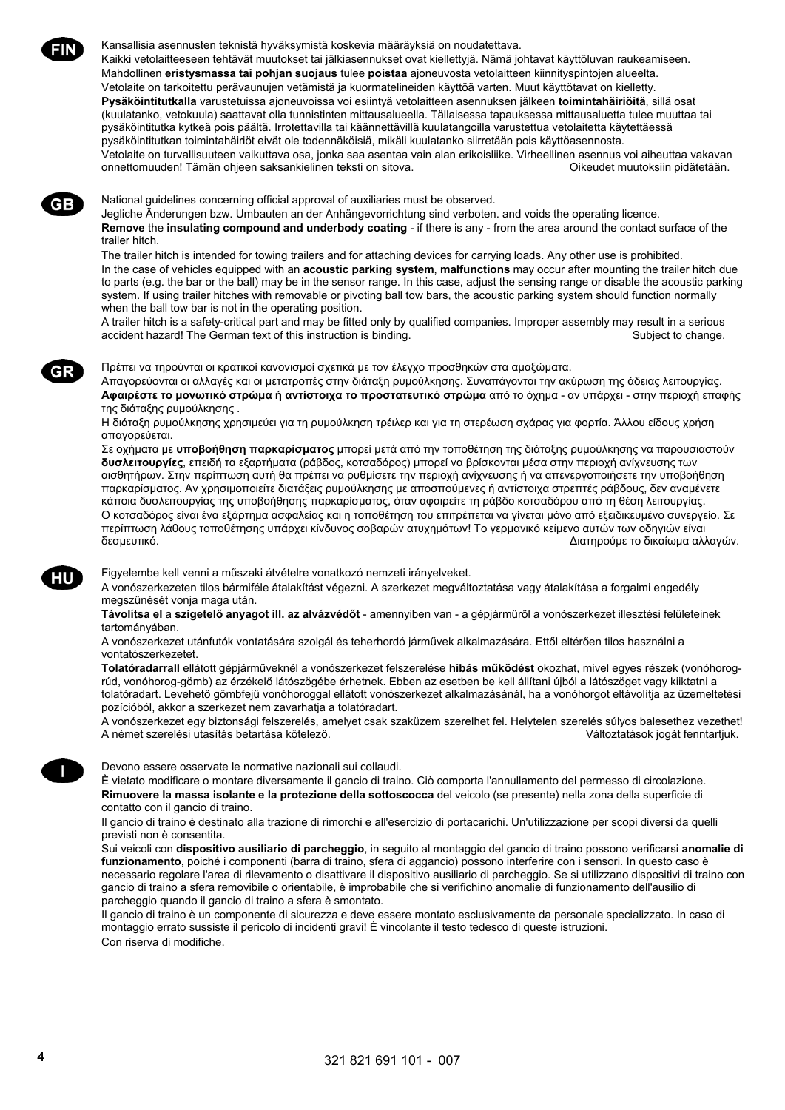

Kansallisia asennusten teknistä hyväksymistä koskevia määräyksiä on noudatettava.

Kaikki vetolaitteeseen tehtävät muutokset tai jälkiasennukset ovat kiellettyjä. Nämä johtavat käyttöluvan raukeamiseen. Mahdollinen **eristysmassa tai pohjan suojaus** tulee **poistaa** ajoneuvosta vetolaitteen kiinnityspintojen alueelta. Vetolaite on tarkoitettu perävaunujen vetämistä ja kuormatelineiden käyttöä varten. Muut käyttötavat on kielletty. **Pysäköintitutkalla** varustetuissa ajoneuvoissa voi esiintyä vetolaitteen asennuksen jälkeen **toimintahäiriöitä**, sillä osat (kuulatanko, vetokuula) saattavat olla tunnistinten mittausalueella. Tällaisessa tapauksessa mittausaluetta tulee muuttaa tai pysäköintitutka kytkeä pois päältä. Irrotettavilla tai käännettävillä kuulatangoilla varustettua vetolaitetta käytettäessä pysäköintitutkan toimintahäiriöt eivät ole todennäköisiä, mikäli kuulatanko siirretään pois käyttöasennosta. Vetolaite on turvallisuuteen vaikuttava osa, jonka saa asentaa vain alan erikoisliike. Virheellinen asennus voi aiheuttaa vakavan onnettomuuden! Tämän ohjeen saksankielinen teksti on sitova. vaaksaan valtaa valtaa Oikeudet muutoksiin pidätetään.

GB

GR

National guidelines concerning official approval of auxiliaries must be observed.

Jegliche Änderungen bzw. Umbauten an der Anhängevorrichtung sind verboten. and voids the operating licence.

**Remove** the **insulating compound and underbody coating** - if there is any - from the area around the contact surface of the trailer hitch.

The trailer hitch is intended for towing trailers and for attaching devices for carrying loads. Any other use is prohibited. In the case of vehicles equipped with an **acoustic parking system**, **malfunctions** may occur after mounting the trailer hitch due to parts (e.g. the bar or the ball) may be in the sensor range. In this case, adjust the sensing range or disable the acoustic parking system. If using trailer hitches with removable or pivoting ball tow bars, the acoustic parking system should function normally when the ball tow bar is not in the operating position.

A trailer hitch is a safety-critical part and may be fitted only by qualified companies. Improper assembly may result in a serious accident hazard! The German text of this instruction is binding. Subject to change. Subject to change.

Πρέπει να τηρούνται οι κρατικοί κανονισμοί σχετικά με τον έλεγχο προσθηκών στα αμαξώματα.

Απαγορεύονται οι αλλαγές και οι μετατροπές στην διάταξη ρυμούλκησης. Συναπάγονται την ακύρωση της άδειας λειτουργίας. **Αφαιρέστε το μονωτικό στρώμα ή αντίστοιχα το προστατευτικό στρώμα** από το όχημα - αν υπάρχει - στην περιοχή επαφής της διάταξης ρυμούλκησης .

Η διάταξη ρυμούλκησης χρησιμεύει για τη ρυμούλκηση τρέιλερ και για τη στερέωση σχάρας για φορτία. Άλλου είδους χρήση απαγορεύεται.

Σε οχήματα με **υποβοήθηση παρκαρίσματος** μπορεί μετά από την τοποθέτηση της διάταξης ρυμούλκησης να παρουσιαστούν **δυσλειτουργίες**, επειδή τα εξαρτήματα (ράβδος, κοτσαδόρος) μπορεί να βρίσκονται μέσα στην περιοχή ανίχνευσης των αισθητήρων. Στην περίπτωση αυτή θα πρέπει να ρυθμίσετε την περιοχή ανίχνευσης ή να απενεργοποιήσετε την υποβοήθηση παρκαρίσματος. Αν χρησιμοποιείτε διατάξεις ρυμούλκησης με αποσπούμενες ή αντίστοιχα στρεπτές ράβδους, δεν αναμένετε κάποια δυσλειτουργίας της υποβοήθησης παρκαρίσματος, όταν αφαιρείτε τη ράβδο κοτσαδόρου από τη θέση λειτουργίας. Ο κοτσαδόρος είναι ένα εξάρτημα ασφαλείας και η τοποθέτηση του επιτρέπεται να γίνεται μόνο από εξειδικευμένο συνεργείο. Σε περίπτωση λάθους τοποθέτησης υπάρχει κίνδυνος σοβαρών ατυχημάτων! Το γερμανικό κείμενο αυτών των οδηγιών είναι δεσμευτικό. Διατηρούμε το δικαίωμα αλλαγών.

Figyelembe kell venni a műszaki átvételre vonatkozó nemzeti irányelveket.

A vonószerkezeten tilos bármiféle átalakítást végezni. A szerkezet megváltoztatása vagy átalakítása a forgalmi engedély megszűnését vonja maga után.

**Távolítsa el** a **szigetelő anyagot ill. az alvázvédőt** - amennyiben van - a gépjárműről a vonószerkezet illesztési felületeinek tartományában.

A vonószerkezet utánfutók vontatására szolgál és teherhordó járművek alkalmazására. Ettől eltérően tilos használni a vontatószerkezetet.

**Tolatóradarrall** ellátott gépjárműveknél a vonószerkezet felszerelése **hibás működést** okozhat, mivel egyes részek (vonóhorogrúd, vonóhorog-gömb) az érzékelő látószögébe érhetnek. Ebben az esetben be kell állítani újból a látószöget vagy kiiktatni a tolatóradart. Levehető gömbfejű vonóhoroggal ellátott vonószerkezet alkalmazásánál, ha a vonóhorgot eltávolítja az üzemeltetési pozícióból, akkor a szerkezet nem zavarhatja a tolatóradart.

A vonószerkezet egy biztonsági felszerelés, amelyet csak szaküzem szerelhet fel. Helytelen szerelés súlyos balesethez vezethet! A német szerelési utasítás betartása kötelező. Változtatások jogát fenntartjuk.

Devono essere osservate le normative nazionali sui collaudi.

È vietato modificare o montare diversamente il gancio di traino. Ciò comporta l'annullamento del permesso di circolazione. **Rimuovere la massa isolante e la protezione della sottoscocca** del veicolo (se presente) nella zona della superficie di contatto con il gancio di traino.

Il gancio di traino è destinato alla trazione di rimorchi e all'esercizio di portacarichi. Un'utilizzazione per scopi diversi da quelli previsti non è consentita.

Sui veicoli con **dispositivo ausiliario di parcheggio**, in seguito al montaggio del gancio di traino possono verificarsi **anomalie di funzionamento**, poiché i componenti (barra di traino, sfera di aggancio) possono interferire con i sensori. In questo caso è necessario regolare l'area di rilevamento o disattivare il dispositivo ausiliario di parcheggio. Se si utilizzano dispositivi di traino con gancio di traino a sfera removibile o orientabile, è improbabile che si verifichino anomalie di funzionamento dell'ausilio di parcheggio quando il gancio di traino a sfera è smontato.

Il gancio di traino è un componente di sicurezza e deve essere montato esclusivamente da personale specializzato. In caso di montaggio errato sussiste il pericolo di incidenti gravi! È vincolante il testo tedesco di queste istruzioni. Con riserva di modifiche.

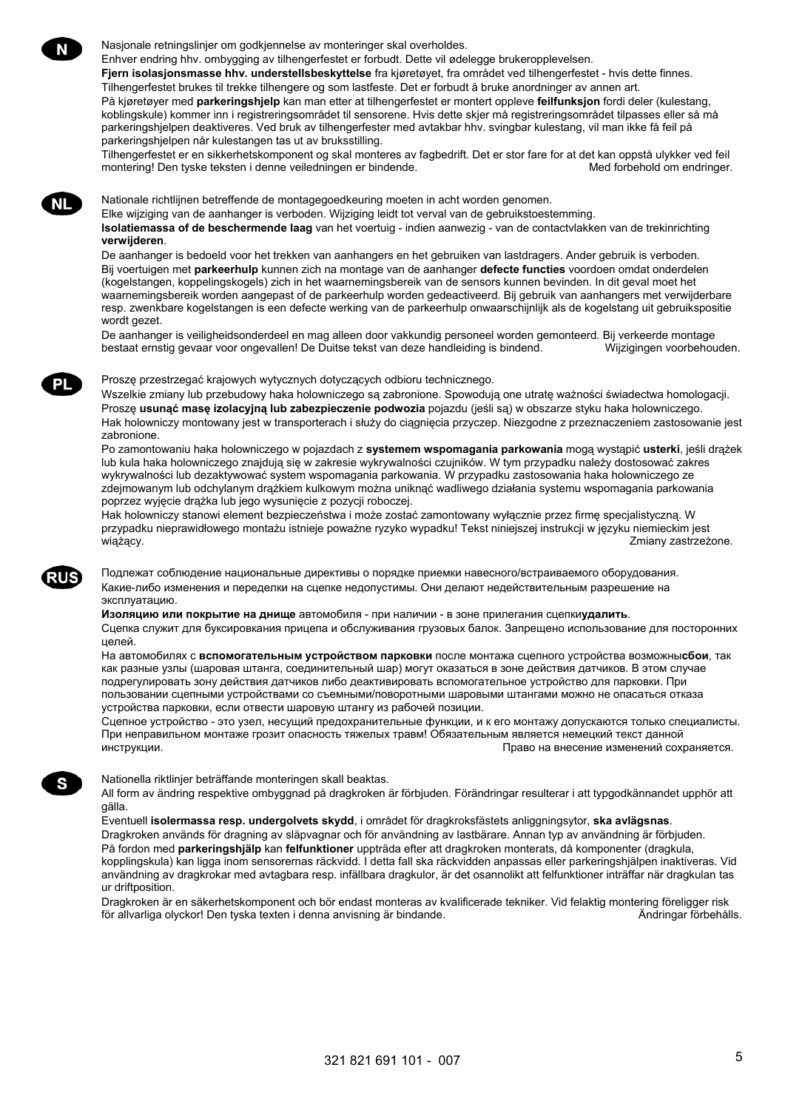**NL** 

Nasjonale retningslinjer om godkjennelse av monteringer skal overholdes.

Enhver endring hhv. ombygging av tilhengerfestet er forbudt. Dette vil ødelegge brukeropplevelsen.

**Fjern isolasjonsmasse hhv. understellsbeskyttelse** fra kjøretøyet, fra området ved tilhengerfestet - hvis dette finnes.

Tilhengerfestet brukes til trekke tilhengere og som lastfeste. Det er forbudt å bruke anordninger av annen art. På kjøretøyer med **parkeringshjelp** kan man etter at tilhengerfestet er montert oppleve **feilfunksjon** fordi deler (kulestang, koblingskule) kommer inn i registreringsområdet til sensorene. Hvis dette skjer må registreringsområdet tilpasses eller så må parkeringshjelpen deaktiveres. Ved bruk av tilhengerfester med avtakbar hhv. svingbar kulestang, vil man ikke få feil på parkeringshjelpen når kulestangen tas ut av bruksstilling.

Tilhengerfestet er en sikkerhetskomponent og skal monteres av fagbedrift. Det er stor fare for at det kan oppstå ulykker ved feil montering! Den tyske teksten i denne veiledningen er bindende. Met andere med Med forbehold om endringer.

Nationale richtlijnen betreffende de montagegoedkeuring moeten in acht worden genomen.

Elke wijziging van de aanhanger is verboden. Wijziging leidt tot verval van de gebruikstoestemming.

**Isolatiemassa of de beschermende laag** van het voertuig - indien aanwezig - van de contactvlakken van de trekinrichting **verwijderen**.

De aanhanger is bedoeld voor het trekken van aanhangers en het gebruiken van lastdragers. Ander gebruik is verboden. Bij voertuigen met **parkeerhulp** kunnen zich na montage van de aanhanger **defecte functies** voordoen omdat onderdelen (kogelstangen, koppelingskogels) zich in het waarnemingsbereik van de sensors kunnen bevinden. In dit geval moet het waarnemingsbereik worden aangepast of de parkeerhulp worden gedeactiveerd. Bij gebruik van aanhangers met verwijderbare resp. zwenkbare kogelstangen is een defecte werking van de parkeerhulp onwaarschijnlijk als de kogelstang uit gebruikspositie wordt gezet.

De aanhanger is veiligheidsonderdeel en mag alleen door vakkundig personeel worden gemonteerd. Bij verkeerde montage bestaat ernstig gevaar voor ongevallen! De Duitse tekst van deze handleiding is bindend. Wijzigingen voorbehouden.

### Proszę przestrzegać krajowych wytycznych dotyczących odbioru technicznego.

Wszelkie zmiany lub przebudowy haka holowniczego są zabronione. Spowodują one utratę ważności świadectwa homologacji. Proszę **usunąć masę izolacyjną lub zabezpieczenie podwozia** pojazdu (jeśli są) w obszarze styku haka holowniczego. Hak holowniczy montowany jest w transporterach i służy do ciągnięcia przyczep. Niezgodne z przeznaczeniem zastosowanie jest zabronione.

Po zamontowaniu haka holowniczego w pojazdach z **systemem wspomagania parkowania** mogą wystąpić **usterki**, jeśli drążek lub kula haka holowniczego znajdują się w zakresie wykrywalności czujników. W tym przypadku należy dostosować zakres wykrywalności lub dezaktywować system wspomagania parkowania. W przypadku zastosowania haka holowniczego ze zdejmowanym lub odchylanym drążkiem kulkowym można uniknąć wadliwego działania systemu wspomagania parkowania poprzez wyjęcie drążka lub jego wysunięcie z pozycji roboczej.

Hak holowniczy stanowi element bezpieczeństwa i może zostać zamontowany wyłącznie przez firmę specjalistyczną. W przypadku nieprawidłowego montażu istnieje poważne ryzyko wypadku! Tekst niniejszej instrukcji w języku niemieckim jest wiążący. Zmiany zastrzeżone.

Подлежат соблюдение национальные директивы о порядке приемки навесного/встраиваемого оборудования. Какие-либо изменения и переделки на сцепке недопустимы. Они делают недействительным разрешение на эксплуатацию.

**Изоляцию или покрытие на днище** автомобиля - при наличии - в зоне прилегания сцепки**удалить**.

Сцепка служит для буксировкания прицепа и обслуживания грузовых балок. Запрещено использование для посторонних целей.

На автомобилях с **вспомогательным устройством парковки** после монтажа сцепного устройства возможны**сбои**, так как разные узлы (шаровая штанга, соединительный шар) могут оказаться в зоне действия датчиков. В этом случае подрегулировать зону действия датчиков либо деактивировать вспомогательное устройство для парковки. При пользовании сцепными устройствами со съемными/поворотными шаровыми штангами можно не опасаться отказа устройства парковки, если отвести шаровую штангу из рабочей позиции.

Сцепное устройство - это узел, несущий предохранительные функции, и к его монтажу допускаются только специалисты. При неправильном монтаже грозит опасность тяжелых травм! Обязательным является немецкий текст данной инструкции. Право на внесение изменений сохраняется.

Nationella riktlinjer beträffande monteringen skall beaktas.

All form av ändring respektive ombyggnad på dragkroken är förbjuden. Förändringar resulterar i att typgodkännandet upphör att gälla.

Eventuell **isolermassa resp. undergolvets skydd**, i området för dragkroksfästets anliggningsytor, **ska avlägsnas**. Dragkroken används för dragning av släpvagnar och för användning av lastbärare. Annan typ av användning är förbjuden. På fordon med **parkeringshjälp** kan **felfunktioner** uppträda efter att dragkroken monterats, då komponenter (dragkula, kopplingskula) kan ligga inom sensorernas räckvidd. I detta fall ska räckvidden anpassas eller parkeringshjälpen inaktiveras. Vid användning av dragkrokar med avtagbara resp. infällbara dragkulor, är det osannolikt att felfunktioner inträffar när dragkulan tas ur driftposition.

Dragkroken är en säkerhetskomponent och bör endast monteras av kvalificerade tekniker. Vid felaktig montering föreligger risk<br>för allvarliga olyckor! Den tyska texten i denna anvisning är bindande. för allvarliga olyckor! Den tyska texten i denna anvisning är bindande.

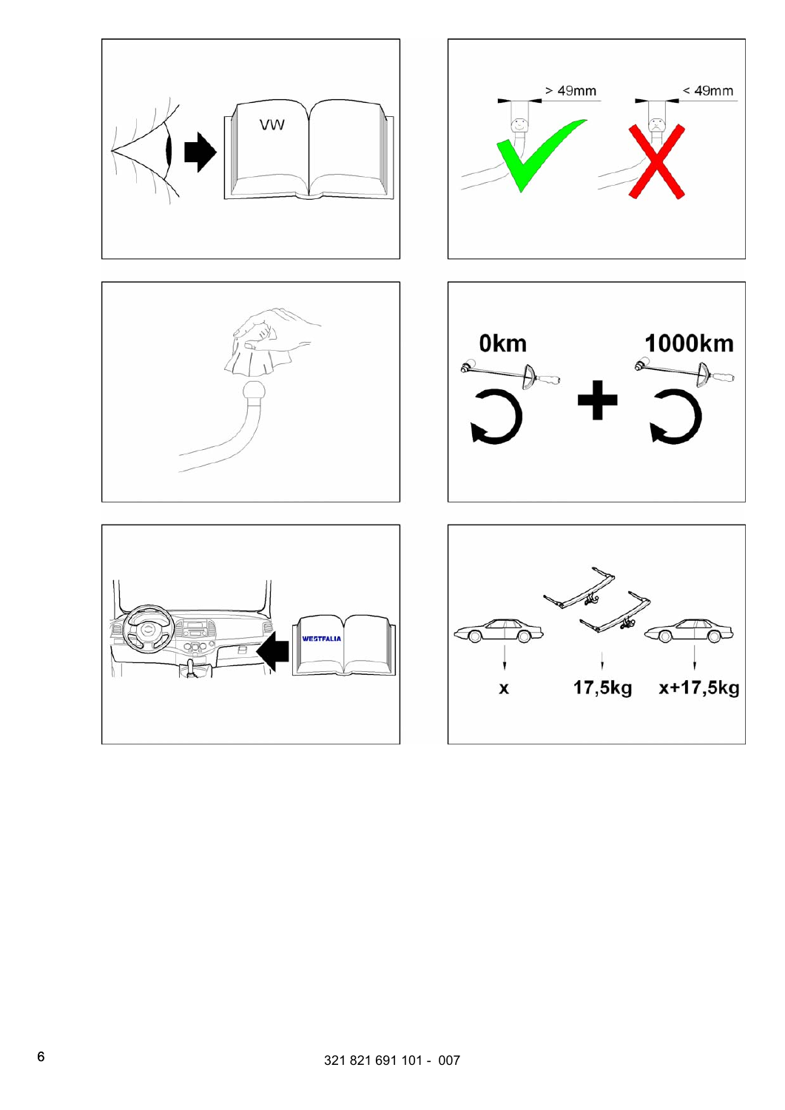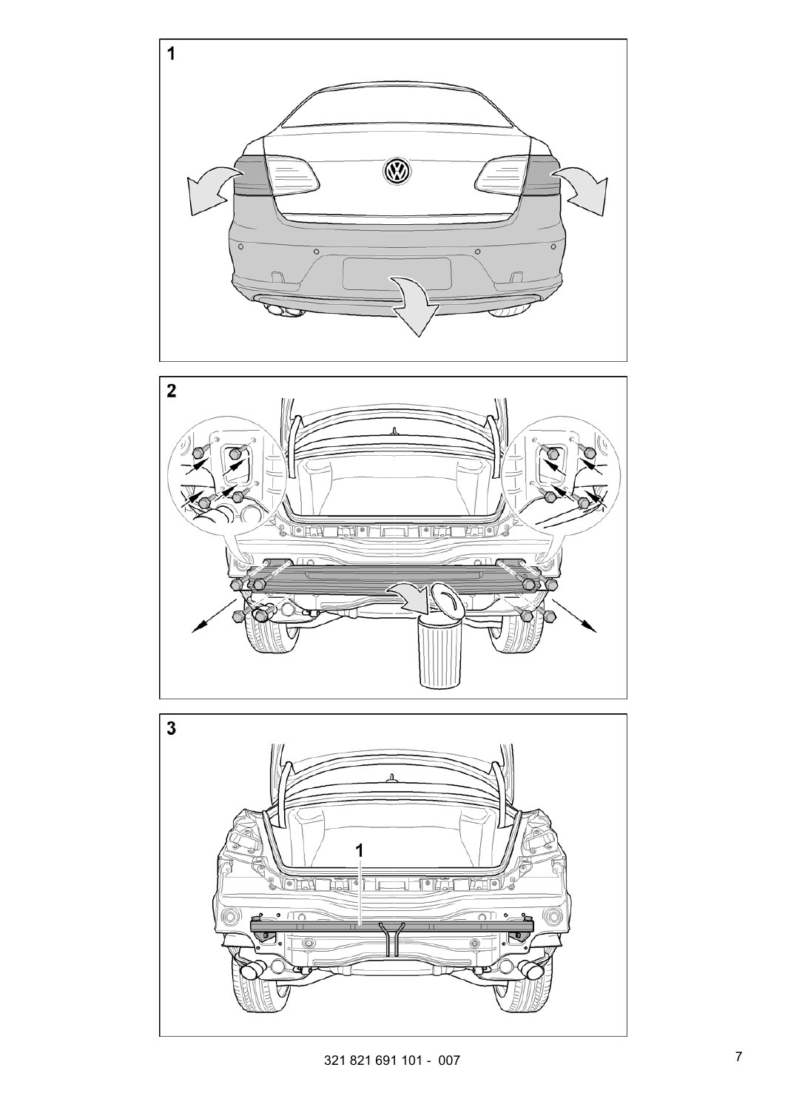



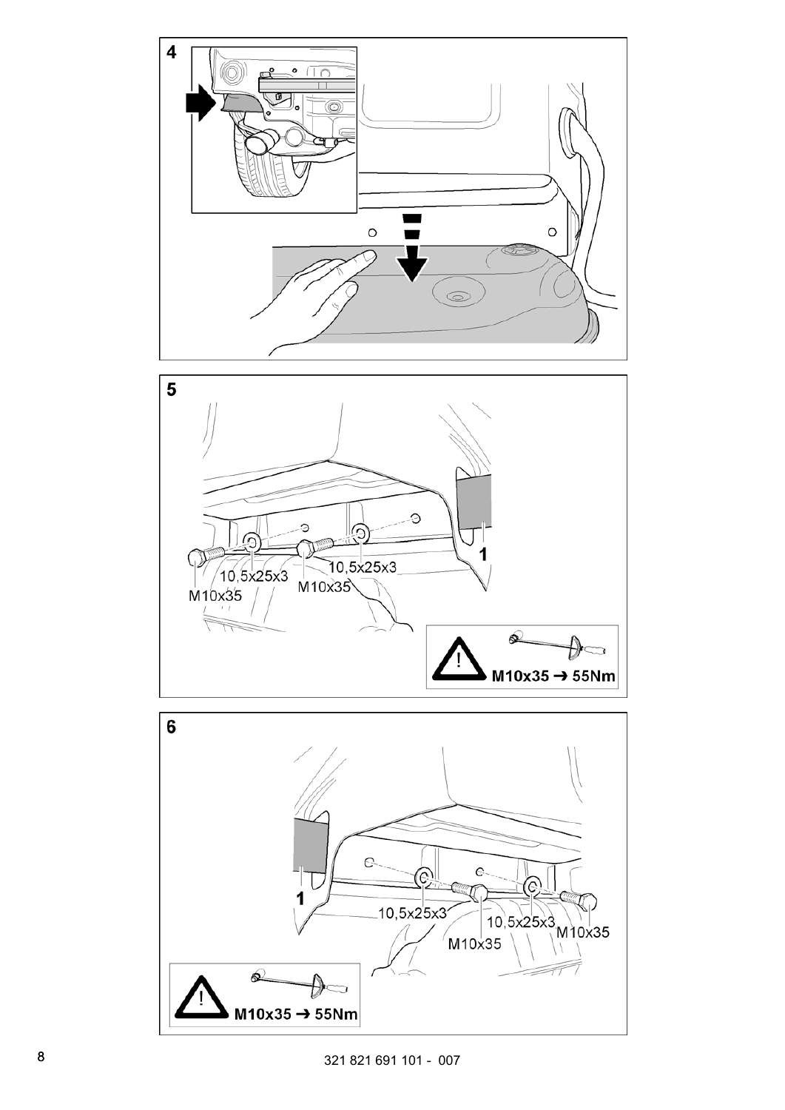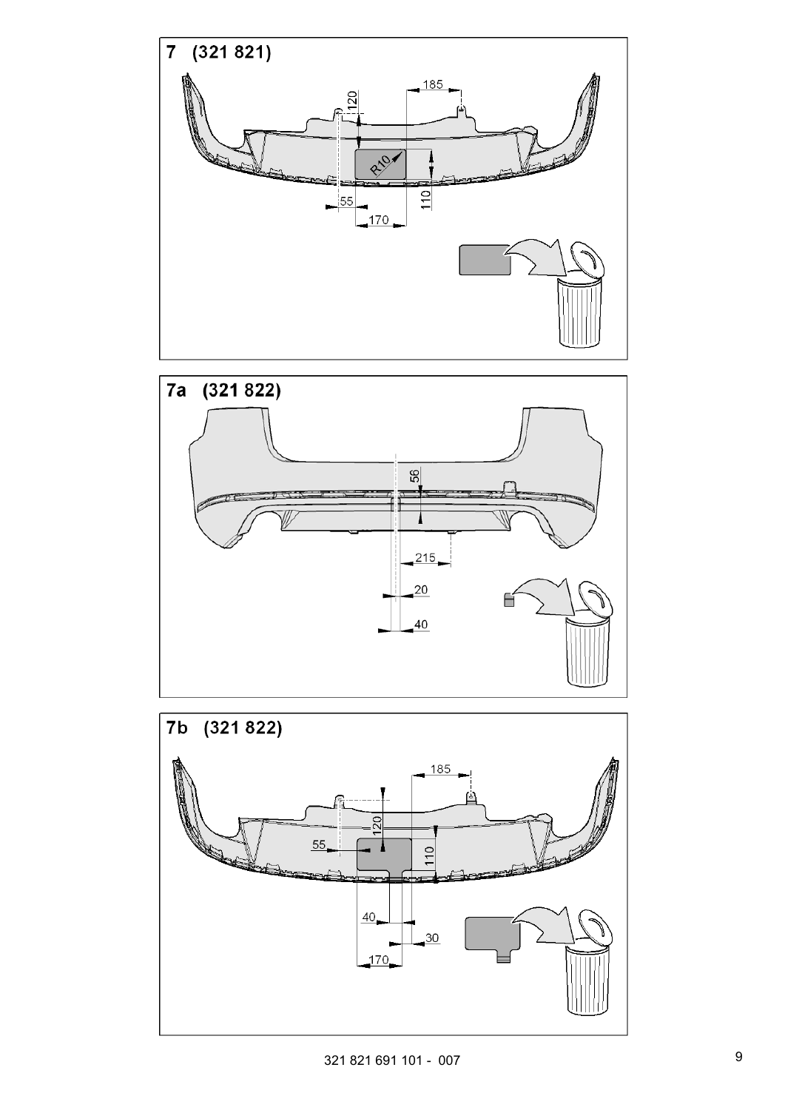



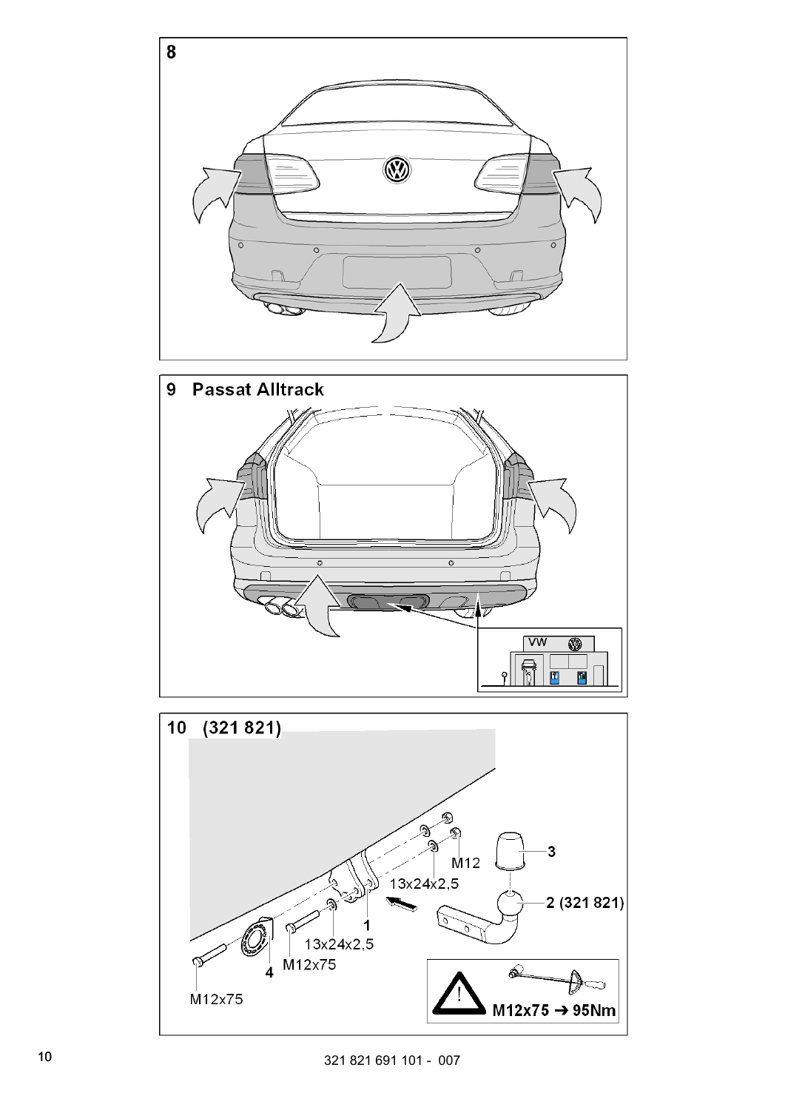



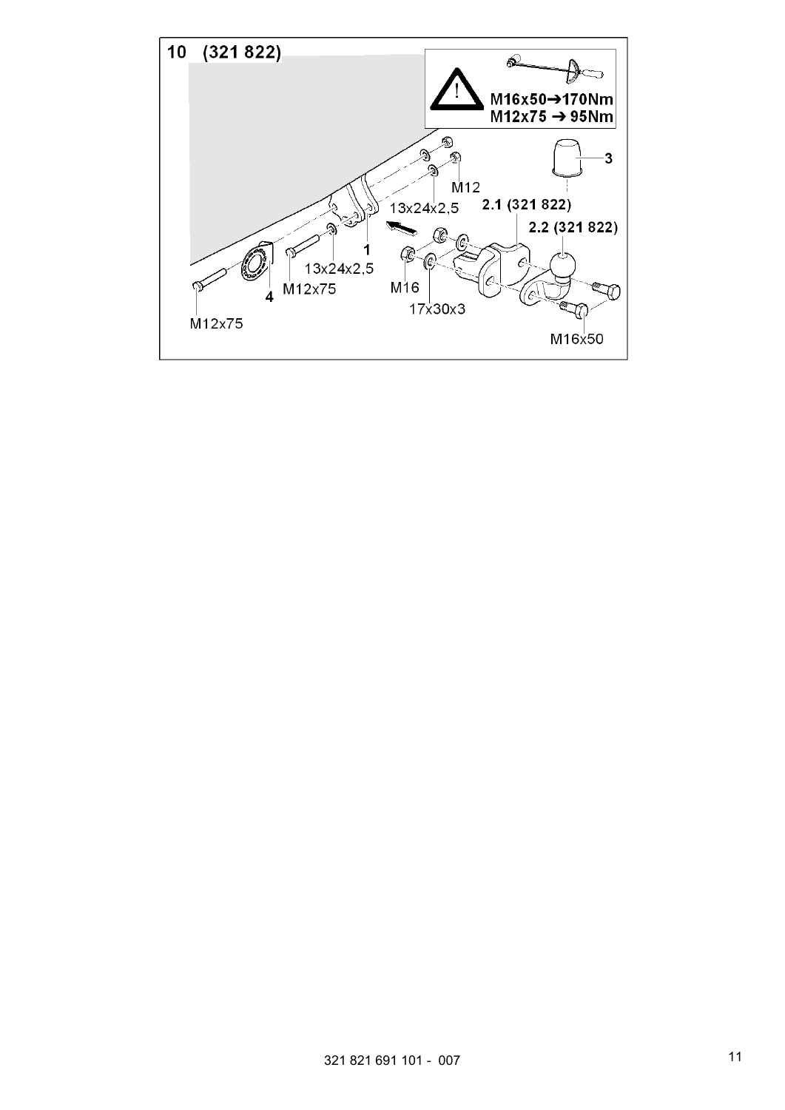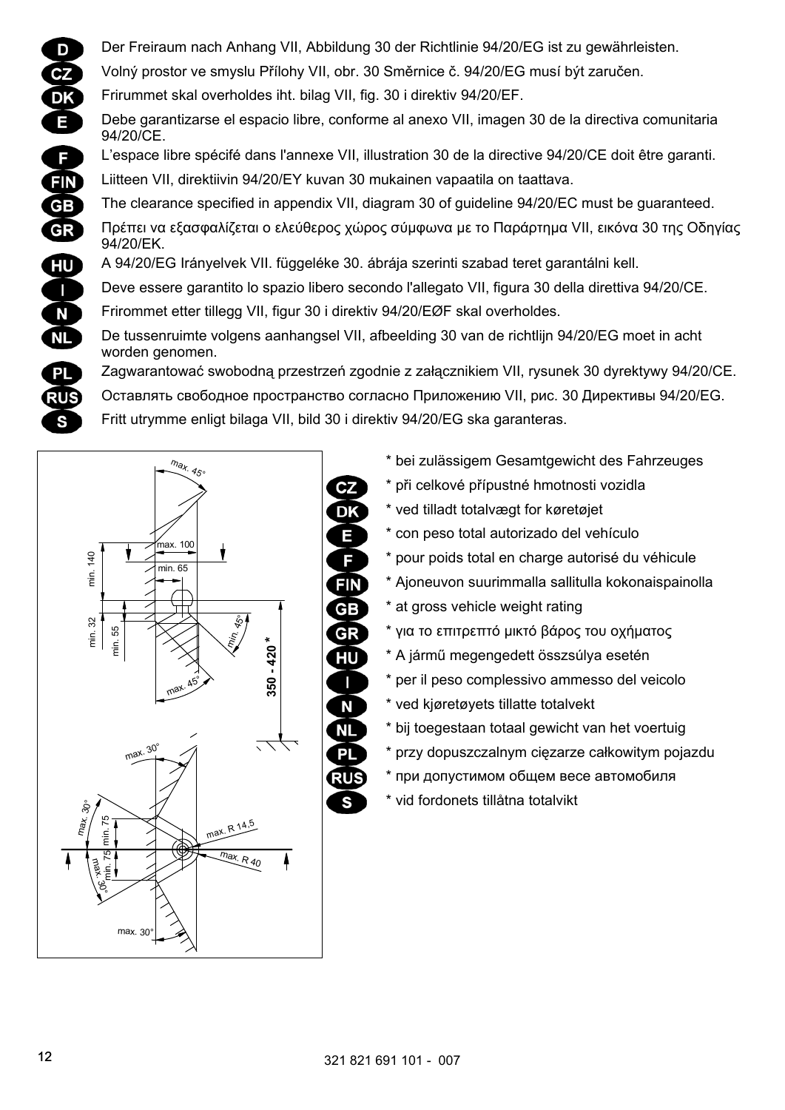D Der Freiraum nach Anhang VII, Abbildung 30 der Richtlinie 94/20/EG ist zu gewährleisten. Volný prostor ve smyslu Přílohy VII, obr. 30 Směrnice č. 94/20/EG musí být zaručen.  $CZ$ Frirummet skal overholdes iht. bilag VII, fig. 30 i direktiv 94/20/EF. **DK** Debe garantizarse el espacio libre, conforme al anexo VII, imagen 30 de la directiva comunitaria 94/20/CE. L'espace libre spécifé dans l'annexe VII, illustration 30 de la directive 94/20/CE doit être garanti. F **FIN** Liitteen VII, direktiivin 94/20/EY kuvan 30 mukainen vapaatila on taattava. **GB** The clearance specified in appendix VII, diagram 30 of guideline 94/20/EC must be guaranteed. Πρέπει να εξασφαλίζεται ο ελεύθερος χώρος σύμφωνα με το Παράρτημα VII, εικόνα 30 της Οδηγίας **GR** 94/20/ΕΚ. A 94/20/EG Irányelvek VII. függeléke 30. ábrája szerinti szabad teret garantálni kell. HU<sup>1</sup> Deve essere garantito lo spazio libero secondo l'allegato VII, figura 30 della direttiva 94/20/CE.  $\blacksquare$ Frirommet etter tillegg VII, figur 30 i direktiv 94/20/EØF skal overholdes. N **NL** De tussenruimte volgens aanhangsel VII, afbeelding 30 van de richtlijn 94/20/EG moet in acht worden genomen. **PL** Zagwarantować swobodną przestrzeń zgodnie z załącznikiem VII, rysunek 30 dyrektywy 94/20/CE. Оставлять свободное пространство согласно Приложению VII, рис. 30 Директивы 94/20/EG. RUS Fritt utrymme enligt bilaga VII, bild 30 i direktiv 94/20/EG ska garanteras.





S

- \* bei zulässigem Gesamtgewicht des Fahrzeuges
- \* při celkové přípustné hmotnosti vozidla
- \* ved tilladt totalvægt for køretøjet
- \* con peso total autorizado del vehículo
- \* pour poids total en charge autorisé du véhicule
- \* Ajoneuvon suurimmalla sallitulla kokonaispainolla
- \* at gross vehicle weight rating
- \* για το επιτρεπτό μικτό βάρος του οχήματος
- \* A jármű megengedett összsúlya esetén
- \* per il peso complessivo ammesso del veicolo
- \* ved kjøretøyets tillatte totalvekt
- \* bij toegestaan totaal gewicht van het voertuig
- \* przy dopuszczalnym cięzarze całkowitym pojazdu
- \* при допустимом общем весе автомобиля
- \* vid fordonets tillåtna totalvikt

Е

S